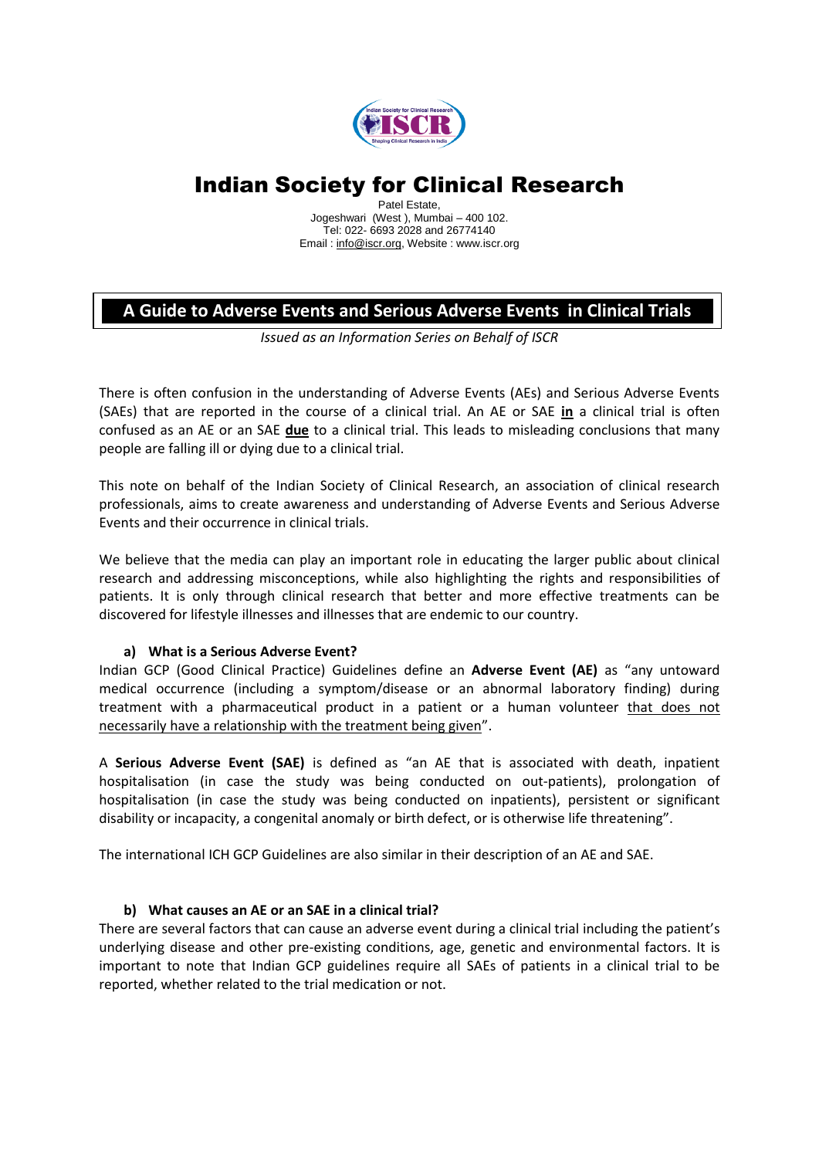

# Indian Society for Clinical Research

Patel Estate, Jogeshwari (West ), Mumbai – 400 102. Tel: 022- 6693 2028 and 26774140 Email [: info@iscr.org,](mailto:info@iscr.org) Website : www.iscr.org

# **A Guide to Adverse Events and Serious Adverse Events in Clinical Trials**

*Issued as an Information Series on Behalf of ISCR*

There is often confusion in the understanding of Adverse Events (AEs) and Serious Adverse Events (SAEs) that are reported in the course of a clinical trial. An AE or SAE **in** a clinical trial is often confused as an AE or an SAE **due** to a clinical trial. This leads to misleading conclusions that many people are falling ill or dying due to a clinical trial.

This note on behalf of the Indian Society of Clinical Research, an association of clinical research professionals, aims to create awareness and understanding of Adverse Events and Serious Adverse Events and their occurrence in clinical trials.

We believe that the media can play an important role in educating the larger public about clinical research and addressing misconceptions, while also highlighting the rights and responsibilities of patients. It is only through clinical research that better and more effective treatments can be discovered for lifestyle illnesses and illnesses that are endemic to our country.

# **a) What is a Serious Adverse Event?**

Indian GCP (Good Clinical Practice) Guidelines define an **Adverse Event (AE)** as "any untoward medical occurrence (including a symptom/disease or an abnormal laboratory finding) during treatment with a pharmaceutical product in a patient or a human volunteer that does not necessarily have a relationship with the treatment being given".

A **Serious Adverse Event (SAE)** is defined as "an AE that is associated with death, inpatient hospitalisation (in case the study was being conducted on out-patients), prolongation of hospitalisation (in case the study was being conducted on inpatients), persistent or significant disability or incapacity, a congenital anomaly or birth defect, or is otherwise life threatening".

The international ICH GCP Guidelines are also similar in their description of an AE and SAE.

# **b) What causes an AE or an SAE in a clinical trial?**

There are several factors that can cause an adverse event during a clinical trial including the patient's underlying disease and other pre-existing conditions, age, genetic and environmental factors. It is important to note that Indian GCP guidelines require all SAEs of patients in a clinical trial to be reported, whether related to the trial medication or not.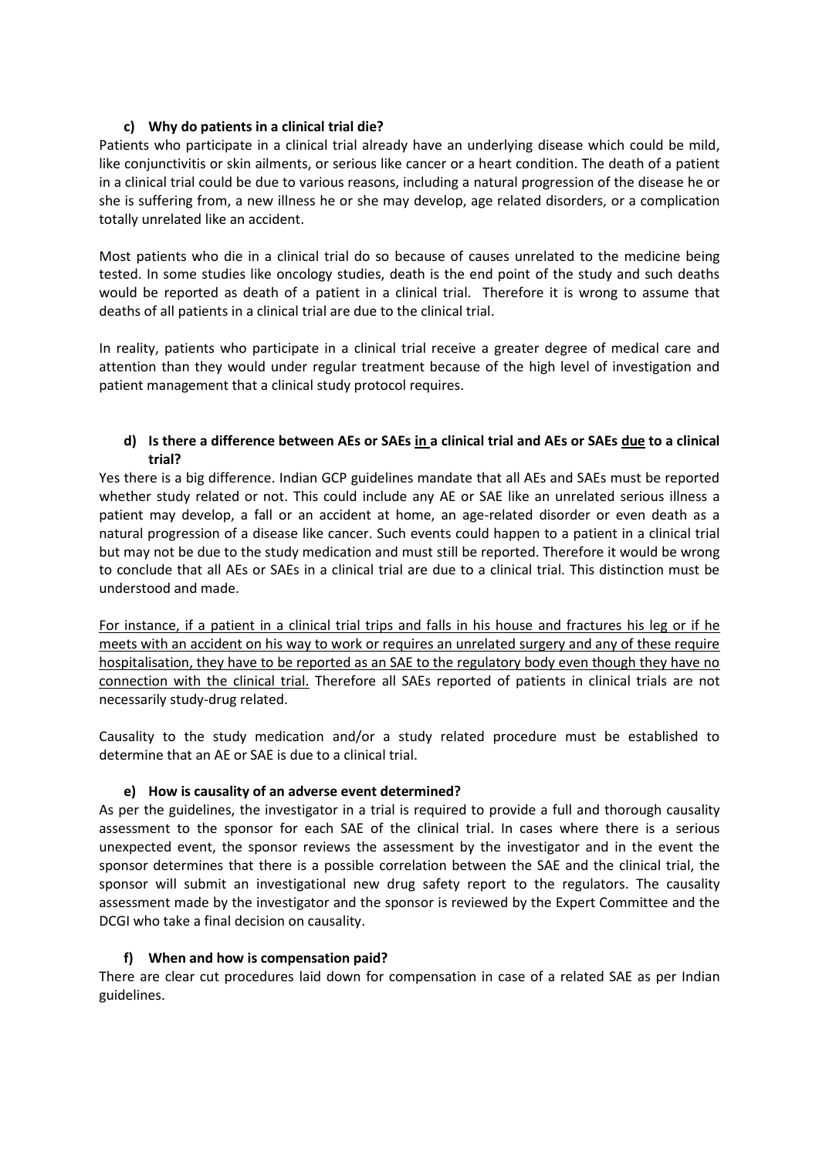## **c) Why do patients in a clinical trial die?**

Patients who participate in a clinical trial already have an underlying disease which could be mild, like conjunctivitis or skin ailments, or serious like cancer or a heart condition. The death of a patient in a clinical trial could be due to various reasons, including a natural progression of the disease he or she is suffering from, a new illness he or she may develop, age related disorders, or a complication totally unrelated like an accident.

Most patients who die in a clinical trial do so because of causes unrelated to the medicine being tested. In some studies like oncology studies, death is the end point of the study and such deaths would be reported as death of a patient in a clinical trial. Therefore it is wrong to assume that deaths of all patients in a clinical trial are due to the clinical trial.

In reality, patients who participate in a clinical trial receive a greater degree of medical care and attention than they would under regular treatment because of the high level of investigation and patient management that a clinical study protocol requires.

## **d) Is there a difference between AEs or SAEs in a clinical trial and AEs or SAEs due to a clinical trial?**

Yes there is a big difference. Indian GCP guidelines mandate that all AEs and SAEs must be reported whether study related or not. This could include any AE or SAE like an unrelated serious illness a patient may develop, a fall or an accident at home, an age-related disorder or even death as a natural progression of a disease like cancer. Such events could happen to a patient in a clinical trial but may not be due to the study medication and must still be reported. Therefore it would be wrong to conclude that all AEs or SAEs in a clinical trial are due to a clinical trial. This distinction must be understood and made.

For instance, if a patient in a clinical trial trips and falls in his house and fractures his leg or if he meets with an accident on his way to work or requires an unrelated surgery and any of these require hospitalisation, they have to be reported as an SAE to the regulatory body even though they have no connection with the clinical trial. Therefore all SAEs reported of patients in clinical trials are not necessarily study-drug related.

Causality to the study medication and/or a study related procedure must be established to determine that an AE or SAE is due to a clinical trial.

# **e) How is causality of an adverse event determined?**

As per the guidelines, the investigator in a trial is required to provide a full and thorough causality assessment to the sponsor for each SAE of the clinical trial. In cases where there is a serious unexpected event, the sponsor reviews the assessment by the investigator and in the event the sponsor determines that there is a possible correlation between the SAE and the clinical trial, the sponsor will submit an investigational new drug safety report to the regulators. The causality assessment made by the investigator and the sponsor is reviewed by the Expert Committee and the DCGI who take a final decision on causality.

# **f) When and how is compensation paid?**

There are clear cut procedures laid down for compensation in case of a related SAE as per Indian guidelines.